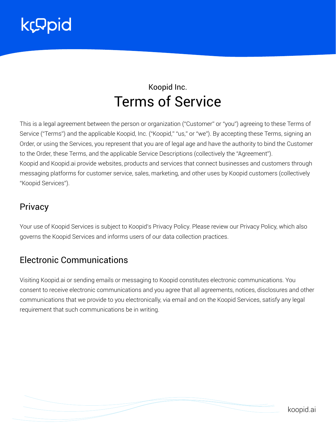

# Koopid Inc. Terms of Service

This is a legal agreement between the person or organization ("Customer" or "you") agreeing to these Terms of Service ("Terms") and the applicable Koopid, Inc. ("Koopid," "us," or "we"). By accepting these Terms, signing an Order, or using the Services, you represent that you are of legal age and have the authority to bind the Customer to the Order, these Terms, and the applicable Service Descriptions (collectively the "Agreement"). Koopid and Koopid.ai provide websites, products and services that connect businesses and customers through messaging platforms for customer service, sales, marketing, and other uses by Koopid customers (collectively "Koopid Services").

#### **Privacy**

Your use of Koopid Services is subject to Koopid's Privacy Policy. Please review our Privacy Policy, which also governs the Koopid Services and informs users of our data collection practices.

#### Electronic Communications

Visiting Koopid.ai or sending emails or messaging to Koopid constitutes electronic communications. You consent to receive electronic communications and you agree that all agreements, notices, disclosures and other communications that we provide to you electronically, via email and on the Koopid Services, satisfy any legal requirement that such communications be in writing.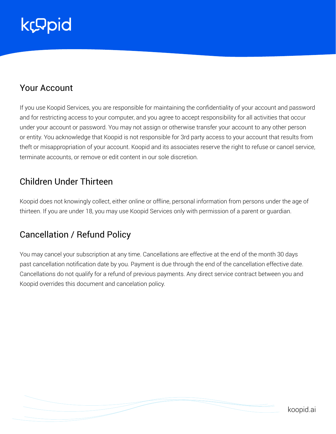### Your Account

If you use Koopid Services, you are responsible for maintaining the confidentiality of your account and password and for restricting access to your computer, and you agree to accept responsibility for all activities that occur under your account or password. You may not assign or otherwise transfer your account to any other person or entity. You acknowledge that Koopid is not responsible for 3rd party access to your account that results from theft or misappropriation of your account. Koopid and its associates reserve the right to refuse or cancel service, terminate accounts, or remove or edit content in our sole discretion.

### Children Under Thirteen

Koopid does not knowingly collect, either online or offline, personal information from persons under the age of thirteen. If you are under 18, you may use Koopid Services only with permission of a parent or guardian.

# Cancellation / Refund Policy

You may cancel your subscription at any time. Cancellations are effective at the end of the month 30 days past cancellation notification date by you. Payment is due through the end of the cancellation effective date. Cancellations do not qualify for a refund of previous payments. Any direct service contract between you and Koopid overrides this document and cancelation policy.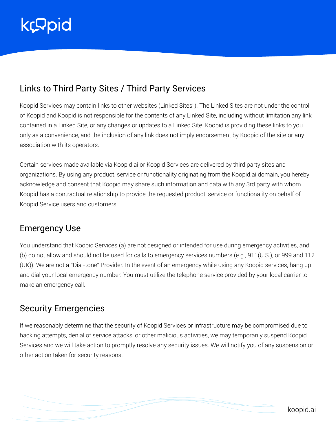# Links to Third Party Sites / Third Party Services

Koopid Services may contain links to other websites (Linked Sites"). The Linked Sites are not under the control of Koopid and Koopid is not responsible for the contents of any Linked Site, including without limitation any link contained in a Linked Site, or any changes or updates to a Linked Site. Koopid is providing these links to you only as a convenience, and the inclusion of any link does not imply endorsement by Koopid of the site or any association with its operators.

Certain services made available via Koopid.ai or Koopid Services are delivered by third party sites and organizations. By using any product, service or functionality originating from the Koopid.ai domain, you hereby acknowledge and consent that Koopid may share such information and data with any 3rd party with whom Koopid has a contractual relationship to provide the requested product, service or functionality on behalf of Koopid Service users and customers.

### Emergency Use

You understand that Koopid Services (a) are not designed or intended for use during emergency activities, and (b) do not allow and should not be used for calls to emergency services numbers (e.g., 911(U.S.), or 999 and 112 (UK)). We are not a "Dial-tone" Provider. In the event of an emergency while using any Koopid services, hang up and dial your local emergency number. You must utilize the telephone service provided by your local carrier to make an emergency call.

### Security Emergencies

If we reasonably determine that the security of Koopid Services or infrastructure may be compromised due to hacking attempts, denial of service attacks, or other malicious activities, we may temporarily suspend Koopid Services and we will take action to promptly resolve any security issues. We will notify you of any suspension or other action taken for security reasons.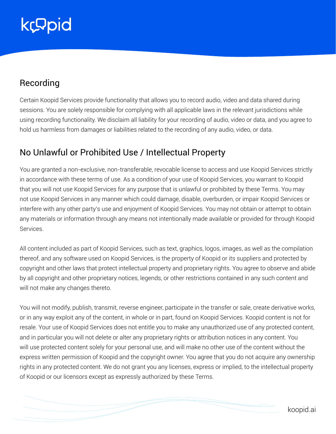### Recording

Certain Koopid Services provide functionality that allows you to record audio, video and data shared during sessions. You are solely responsible for complying with all applicable laws in the relevant jurisdictions while using recording functionality. We disclaim all liability for your recording of audio, video or data, and you agree to hold us harmless from damages or liabilities related to the recording of any audio, video, or data.

### No Unlawful or Prohibited Use / Intellectual Property

You are granted a non-exclusive, non-transferable, revocable license to access and use Koopid Services strictly in accordance with these terms of use. As a condition of your use of Koopid Services, you warrant to Koopid that you will not use Koopid Services for any purpose that is unlawful or prohibited by these Terms. You may not use Koopid Services in any manner which could damage, disable, overburden, or impair Koopid Services or interfere with any other party's use and enjoyment of Koopid Services. You may not obtain or attempt to obtain any materials or information through any means not intentionally made available or provided for through Koopid Services.

All content included as part of Koopid Services, such as text, graphics, logos, images, as well as the compilation thereof, and any software used on Koopid Services, is the property of Koopid or its suppliers and protected by copyright and other laws that protect intellectual property and proprietary rights. You agree to observe and abide by all copyright and other proprietary notices, legends, or other restrictions contained in any such content and will not make any changes thereto.

You will not modify, publish, transmit, reverse engineer, participate in the transfer or sale, create derivative works, or in any way exploit any of the content, in whole or in part, found on Koopid Services. Koopid content is not for resale. Your use of Koopid Services does not entitle you to make any unauthorized use of any protected content, and in particular you will not delete or alter any proprietary rights or attribution notices in any content. You will use protected content solely for your personal use, and will make no other use of the content without the express written permission of Koopid and the copyright owner. You agree that you do not acquire any ownership rights in any protected content. We do not grant you any licenses, express or implied, to the intellectual property of Koopid or our licensors except as expressly authorized by these Terms.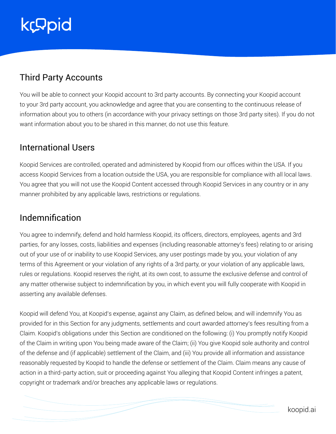# Third Party Accounts

You will be able to connect your Koopid account to 3rd party accounts. By connecting your Koopid account to your 3rd party account, you acknowledge and agree that you are consenting to the continuous release of information about you to others (in accordance with your privacy settings on those 3rd party sites). If you do not want information about you to be shared in this manner, do not use this feature.

### International Users

Koopid Services are controlled, operated and administered by Koopid from our offices within the USA. If you access Koopid Services from a location outside the USA, you are responsible for compliance with all local laws. You agree that you will not use the Koopid Content accessed through Koopid Services in any country or in any manner prohibited by any applicable laws, restrictions or regulations.

### Indemnification

You agree to indemnify, defend and hold harmless Koopid, its officers, directors, employees, agents and 3rd parties, for any losses, costs, liabilities and expenses (including reasonable attorney's fees) relating to or arising out of your use of or inability to use Koopid Services, any user postings made by you, your violation of any terms of this Agreement or your violation of any rights of a 3rd party, or your violation of any applicable laws, rules or regulations. Koopid reserves the right, at its own cost, to assume the exclusive defense and control of any matter otherwise subject to indemnification by you, in which event you will fully cooperate with Koopid in asserting any available defenses.

Koopid will defend You, at Koopid's expense, against any Claim, as defined below, and will indemnify You as provided for in this Section for any judgments, settlements and court awarded attorney's fees resulting from a Claim. Koopid's obligations under this Section are conditioned on the following: (i) You promptly notify Koopid of the Claim in writing upon You being made aware of the Claim; (ii) You give Koopid sole authority and control of the defense and (if applicable) settlement of the Claim, and (iii) You provide all information and assistance reasonably requested by Koopid to handle the defense or settlement of the Claim. Claim means any cause of action in a third-party action, suit or proceeding against You alleging that Koopid Content infringes a patent, copyright or trademark and/or breaches any applicable laws or regulations.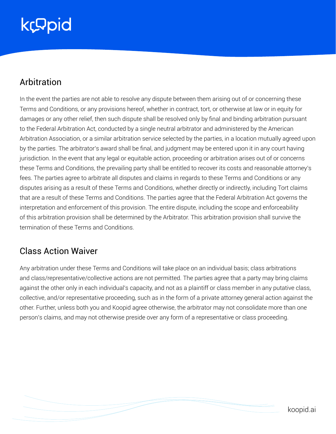# Arbitration

In the event the parties are not able to resolve any dispute between them arising out of or concerning these Terms and Conditions, or any provisions hereof, whether in contract, tort, or otherwise at law or in equity for damages or any other relief, then such dispute shall be resolved only by final and binding arbitration pursuant to the Federal Arbitration Act, conducted by a single neutral arbitrator and administered by the American Arbitration Association, or a similar arbitration service selected by the parties, in a location mutually agreed upon by the parties. The arbitrator's award shall be final, and judgment may be entered upon it in any court having jurisdiction. In the event that any legal or equitable action, proceeding or arbitration arises out of or concerns these Terms and Conditions, the prevailing party shall be entitled to recover its costs and reasonable attorney's fees. The parties agree to arbitrate all disputes and claims in regards to these Terms and Conditions or any disputes arising as a result of these Terms and Conditions, whether directly or indirectly, including Tort claims that are a result of these Terms and Conditions. The parties agree that the Federal Arbitration Act governs the interpretation and enforcement of this provision. The entire dispute, including the scope and enforceability of this arbitration provision shall be determined by the Arbitrator. This arbitration provision shall survive the termination of these Terms and Conditions.

### Class Action Waiver

Any arbitration under these Terms and Conditions will take place on an individual basis; class arbitrations and class/representative/collective actions are not permitted. The parties agree that a party may bring claims against the other only in each individual's capacity, and not as a plaintiff or class member in any putative class, collective, and/or representative proceeding, such as in the form of a private attorney general action against the other. Further, unless both you and Koopid agree otherwise, the arbitrator may not consolidate more than one person's claims, and may not otherwise preside over any form of a representative or class proceeding.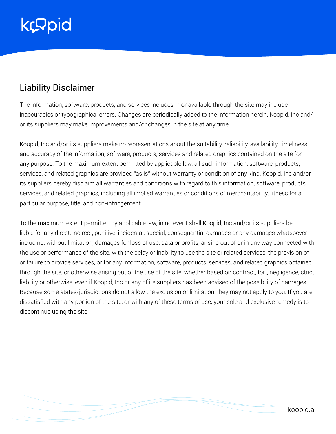# Liability Disclaimer

The information, software, products, and services includes in or available through the site may include inaccuracies or typographical errors. Changes are periodically added to the information herein. Koopid, Inc and/ or its suppliers may make improvements and/or changes in the site at any time.

Koopid, Inc and/or its suppliers make no representations about the suitability, reliability, availability, timeliness, and accuracy of the information, software, products, services and related graphics contained on the site for any purpose. To the maximum extent permitted by applicable law, all such information, software, products, services, and related graphics are provided "as is" without warranty or condition of any kind. Koopid, Inc and/or its suppliers hereby disclaim all warranties and conditions with regard to this information, software, products, services, and related graphics, including all implied warranties or conditions of merchantability, fitness for a particular purpose, title, and non-infringement.

To the maximum extent permitted by applicable law, in no event shall Koopid, Inc and/or its suppliers be liable for any direct, indirect, punitive, incidental, special, consequential damages or any damages whatsoever including, without limitation, damages for loss of use, data or profits, arising out of or in any way connected with the use or performance of the site, with the delay or inability to use the site or related services, the provision of or failure to provide services, or for any information, software, products, services, and related graphics obtained through the site, or otherwise arising out of the use of the site, whether based on contract, tort, negligence, strict liability or otherwise, even if Koopid, Inc or any of its suppliers has been advised of the possibility of damages. Because some states/jurisdictions do not allow the exclusion or limitation, they may not apply to you. If you are dissatisfied with any portion of the site, or with any of these terms of use, your sole and exclusive remedy is to discontinue using the site.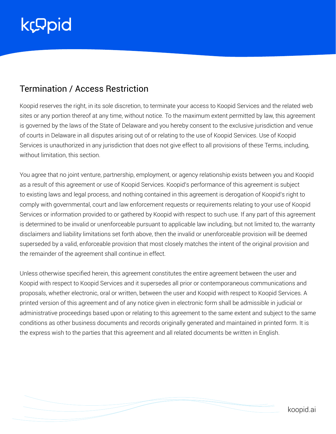### Termination / Access Restriction

Koopid reserves the right, in its sole discretion, to terminate your access to Koopid Services and the related web sites or any portion thereof at any time, without notice. To the maximum extent permitted by law, this agreement is governed by the laws of the State of Delaware and you hereby consent to the exclusive jurisdiction and venue of courts in Delaware in all disputes arising out of or relating to the use of Koopid Services. Use of Koopid Services is unauthorized in any jurisdiction that does not give effect to all provisions of these Terms, including, without limitation, this section.

You agree that no joint venture, partnership, employment, or agency relationship exists between you and Koopid as a result of this agreement or use of Koopid Services. Koopid's performance of this agreement is subject to existing laws and legal process, and nothing contained in this agreement is derogation of Koopid's right to comply with governmental, court and law enforcement requests or requirements relating to your use of Koopid Services or information provided to or gathered by Koopid with respect to such use. If any part of this agreement is determined to be invalid or unenforceable pursuant to applicable law including, but not limited to, the warranty disclaimers and liability limitations set forth above, then the invalid or unenforceable provision will be deemed superseded by a valid, enforceable provision that most closely matches the intent of the original provision and the remainder of the agreement shall continue in effect.

Unless otherwise specified herein, this agreement constitutes the entire agreement between the user and Koopid with respect to Koopid Services and it supersedes all prior or contemporaneous communications and proposals, whether electronic, oral or written, between the user and Koopid with respect to Koopid Services. A printed version of this agreement and of any notice given in electronic form shall be admissible in judicial or administrative proceedings based upon or relating to this agreement to the same extent and subject to the same conditions as other business documents and records originally generated and maintained in printed form. It is the express wish to the parties that this agreement and all related documents be written in English.